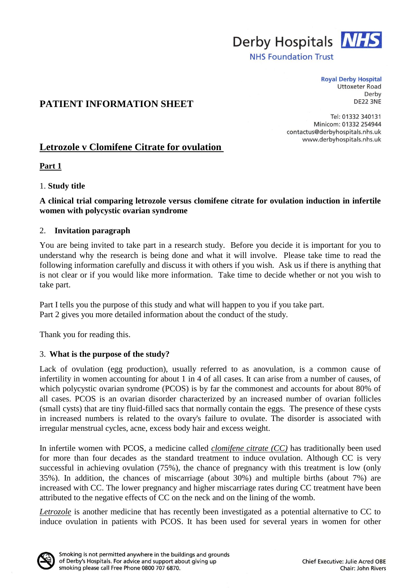

**NHS Foundation Trust** 

**Royal Derby Hospital Uttoxeter Road** Derby **DE22 3NE** 

# **PATIENT INFORMATION SHEET**

Tel: 01332 340131 Minicom: 01332 254944 contactus@derbyhospitals.nhs.uk www.derbyhospitals.nhs.uk

# Letrozole v Clomifene Citrate for ovulation

**Part 1**

## 1. **Study title**

## **A clinical trial comparing letrozole versus clomifene citrate for ovulation induction in infertile women with polycystic ovarian syndrome**

### 2. **Invitation paragraph**

You are being invited to take part in a research study. Before you decide it is important for you to understand why the research is being done and what it will involve. Please take time to read the following information carefully and discuss it with others if you wish. Ask us if there is anything that is not clear or if you would like more information. Take time to decide whether or not you wish to take part.

Part I tells you the purpose of this study and what will happen to you if you take part. Part 2 gives you more detailed information about the conduct of the study.

Thank you for reading this.

## 3. **What is the purpose of the study?**

Lack of ovulation (egg production), usually referred to as anovulation, is a common cause of infertility in women accounting for about 1 in 4 of all cases. It can arise from a number of causes, of which polycystic ovarian syndrome (PCOS) is by far the commonest and accounts for about 80% of all cases. PCOS is an ovarian disorder characterized by an increased number of ovarian follicles (small cysts) that are tiny fluid-filled sacs that normally contain the eggs. The presence of these cysts in increased numbers is related to the ovary's failure to ovulate. The disorder is associated with irregular menstrual cycles, acne, excess body hair and excess weight.

In infertile women with PCOS, a medicine called *clomifene citrate (CC)* has traditionally been used for more than four decades as the standard treatment to induce ovulation. Although CC is very successful in achieving ovulation (75%), the chance of pregnancy with this treatment is low (only 35%). In addition, the chances of miscarriage (about 30%) and multiple births (about 7%) are increased with CC. The lower pregnancy and higher miscarriage rates during CC treatment have been attributed to the negative effects of CC on the neck and on the lining of the womb.

*Letrozole* is another medicine that has recently been investigated as a potential alternative to CC to induce ovulation in patients with PCOS. It has been used for several years in women for other

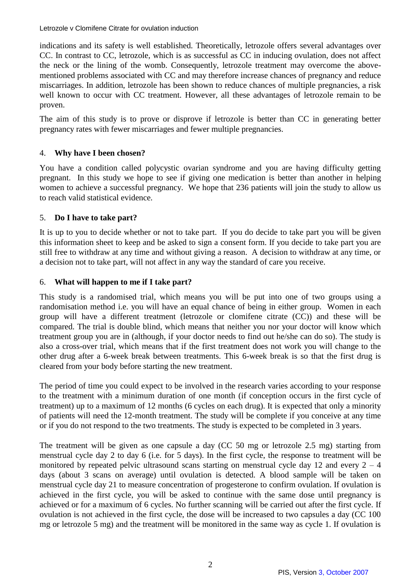indications and its safety is well established. Theoretically, letrozole offers several advantages over CC. In contrast to CC, letrozole, which is as successful as CC in inducing ovulation, does not affect the neck or the lining of the womb. Consequently, letrozole treatment may overcome the abovementioned problems associated with CC and may therefore increase chances of pregnancy and reduce miscarriages. In addition, letrozole has been shown to reduce chances of multiple pregnancies, a risk well known to occur with CC treatment. However, all these advantages of letrozole remain to be proven.

The aim of this study is to prove or disprove if letrozole is better than CC in generating better pregnancy rates with fewer miscarriages and fewer multiple pregnancies.

## 4. **Why have I been chosen?**

You have a condition called polycystic ovarian syndrome and you are having difficulty getting pregnant. In this study we hope to see if giving one medication is better than another in helping women to achieve a successful pregnancy. We hope that 236 patients will join the study to allow us to reach valid statistical evidence.

## 5. **Do I have to take part?**

It is up to you to decide whether or not to take part. If you do decide to take part you will be given this information sheet to keep and be asked to sign a consent form. If you decide to take part you are still free to withdraw at any time and without giving a reason. A decision to withdraw at any time, or a decision not to take part, will not affect in any way the standard of care you receive.

### 6. **What will happen to me if I take part?**

This study is a randomised trial, which means you will be put into one of two groups using a randomisation method i.e. you will have an equal chance of being in either group. Women in each group will have a different treatment (letrozole or clomifene citrate (CC)) and these will be compared. The trial is double blind, which means that neither you nor your doctor will know which treatment group you are in (although, if your doctor needs to find out he/she can do so). The study is also a cross-over trial, which means that if the first treatment does not work you will change to the other drug after a 6-week break between treatments. This 6-week break is so that the first drug is cleared from your body before starting the new treatment.

The period of time you could expect to be involved in the research varies according to your response to the treatment with a minimum duration of one month (if conception occurs in the first cycle of treatment) up to a maximum of 12 months (6 cycles on each drug). It is expected that only a minority of patients will need the 12-month treatment. The study will be complete if you conceive at any time or if you do not respond to the two treatments. The study is expected to be completed in 3 years.

The treatment will be given as one capsule a day (CC 50 mg or letrozole 2.5 mg) starting from menstrual cycle day 2 to day 6 (i.e. for 5 days). In the first cycle, the response to treatment will be monitored by repeated pelvic ultrasound scans starting on menstrual cycle day 12 and every  $2 - 4$ days (about 3 scans on average) until ovulation is detected. A blood sample will be taken on menstrual cycle day 21 to measure concentration of progesterone to confirm ovulation. If ovulation is achieved in the first cycle, you will be asked to continue with the same dose until pregnancy is achieved or for a maximum of 6 cycles. No further scanning will be carried out after the first cycle. If ovulation is not achieved in the first cycle, the dose will be increased to two capsules a day (CC 100 mg or letrozole 5 mg) and the treatment will be monitored in the same way as cycle 1. If ovulation is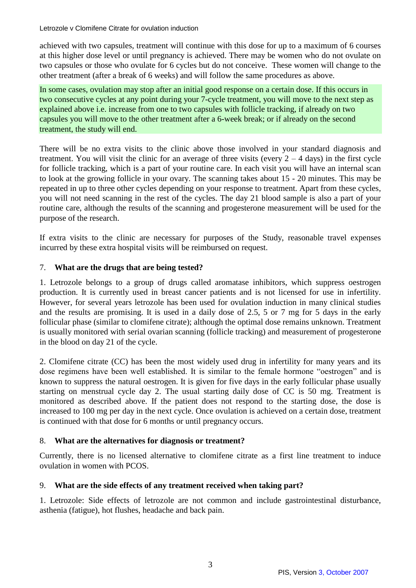achieved with two capsules, treatment will continue with this dose for up to a maximum of 6 courses at this higher dose level or until pregnancy is achieved. There may be women who do not ovulate on two capsules or those who ovulate for 6 cycles but do not conceive. These women will change to the other treatment (after a break of 6 weeks) and will follow the same procedures as above.

In some cases, ovulation may stop after an initial good response on a certain dose. If this occurs in two consecutive cycles at any point during your 7-cycle treatment, you will move to the next step as explained above i.e. increase from one to two capsules with follicle tracking, if already on two capsules you will move to the other treatment after a 6-week break; or if already on the second treatment, the study will end.

There will be no extra visits to the clinic above those involved in your standard diagnosis and treatment. You will visit the clinic for an average of three visits (every  $2 - 4$  days) in the first cycle for follicle tracking, which is a part of your routine care. In each visit you will have an internal scan to look at the growing follicle in your ovary. The scanning takes about 15 - 20 minutes. This may be repeated in up to three other cycles depending on your response to treatment. Apart from these cycles, you will not need scanning in the rest of the cycles. The day 21 blood sample is also a part of your routine care, although the results of the scanning and progesterone measurement will be used for the purpose of the research.

If extra visits to the clinic are necessary for purposes of the Study, reasonable travel expenses incurred by these extra hospital visits will be reimbursed on request.

## 7. **What are the drugs that are being tested?**

1. Letrozole belongs to a group of drugs called aromatase inhibitors, which suppress oestrogen production. It is currently used in breast cancer patients and is not licensed for use in infertility. However, for several years letrozole has been used for ovulation induction in many clinical studies and the results are promising. It is used in a daily dose of 2.5, 5 or 7 mg for 5 days in the early follicular phase (similar to clomifene citrate); although the optimal dose remains unknown. Treatment is usually monitored with serial ovarian scanning (follicle tracking) and measurement of progesterone in the blood on day 21 of the cycle.

2. Clomifene citrate (CC) has been the most widely used drug in infertility for many years and its dose regimens have been well established. It is similar to the female hormone "oestrogen" and is known to suppress the natural oestrogen. It is given for five days in the early follicular phase usually starting on menstrual cycle day 2. The usual starting daily dose of CC is 50 mg. Treatment is monitored as described above. If the patient does not respond to the starting dose, the dose is increased to 100 mg per day in the next cycle. Once ovulation is achieved on a certain dose, treatment is continued with that dose for 6 months or until pregnancy occurs.

## 8. **What are the alternatives for diagnosis or treatment?**

Currently, there is no licensed alternative to clomifene citrate as a first line treatment to induce ovulation in women with PCOS.

## 9. **What are the side effects of any treatment received when taking part?**

1. Letrozole: Side effects of letrozole are not common and include gastrointestinal disturbance, asthenia (fatigue), hot flushes, headache and back pain.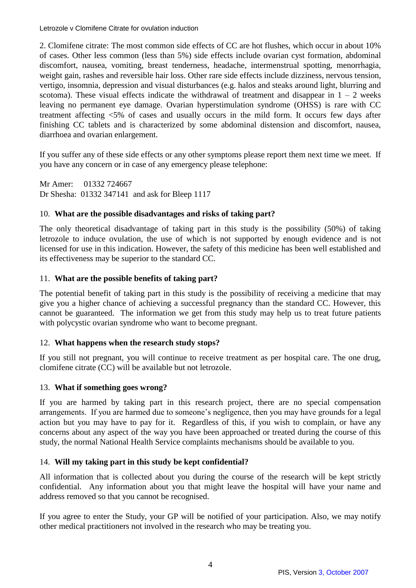2. Clomifene citrate: The most common side effects of CC are hot flushes, which occur in about 10% of cases. Other less common (less than 5%) side effects include ovarian cyst formation, abdominal discomfort, nausea, vomiting, breast tenderness, headache, intermenstrual spotting, menorrhagia, weight gain, rashes and reversible hair loss. Other rare side effects include dizziness, nervous tension, vertigo, insomnia, depression and visual disturbances (e.g. halos and steaks around light, blurring and scotoma). These visual effects indicate the withdrawal of treatment and disappear in  $1 - 2$  weeks leaving no permanent eye damage. Ovarian hyperstimulation syndrome (OHSS) is rare with CC treatment affecting <5% of cases and usually occurs in the mild form. It occurs few days after finishing CC tablets and is characterized by some abdominal distension and discomfort, nausea, diarrhoea and ovarian enlargement.

If you suffer any of these side effects or any other symptoms please report them next time we meet. If you have any concern or in case of any emergency please telephone:

Mr Amer: 01332 724667 Dr Shesha: 01332 347141 and ask for Bleep 1117

### 10. **What are the possible disadvantages and risks of taking part?**

The only theoretical disadvantage of taking part in this study is the possibility (50%) of taking letrozole to induce ovulation, the use of which is not supported by enough evidence and is not licensed for use in this indication. However, the safety of this medicine has been well established and its effectiveness may be superior to the standard CC.

### 11. **What are the possible benefits of taking part?**

The potential benefit of taking part in this study is the possibility of receiving a medicine that may give you a higher chance of achieving a successful pregnancy than the standard CC. However, this cannot be guaranteed. The information we get from this study may help us to treat future patients with polycystic ovarian syndrome who want to become pregnant.

#### 12. **What happens when the research study stops?**

If you still not pregnant, you will continue to receive treatment as per hospital care. The one drug, clomifene citrate (CC) will be available but not letrozole.

#### 13. **What if something goes wrong?**

If you are harmed by taking part in this research project, there are no special compensation arrangements. If you are harmed due to someone's negligence, then you may have grounds for a legal action but you may have to pay for it. Regardless of this, if you wish to complain, or have any concerns about any aspect of the way you have been approached or treated during the course of this study, the normal National Health Service complaints mechanisms should be available to you.

## 14. **Will my taking part in this study be kept confidential?**

All information that is collected about you during the course of the research will be kept strictly confidential. Any information about you that might leave the hospital will have your name and address removed so that you cannot be recognised.

If you agree to enter the Study, your GP will be notified of your participation. Also, we may notify other medical practitioners not involved in the research who may be treating you.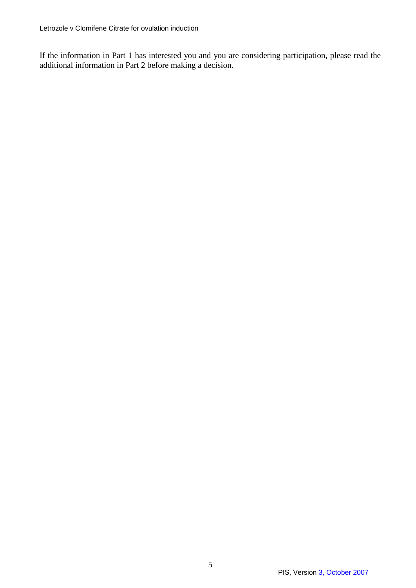If the information in Part 1 has interested you and you are considering participation, please read the additional information in Part 2 before making a decision.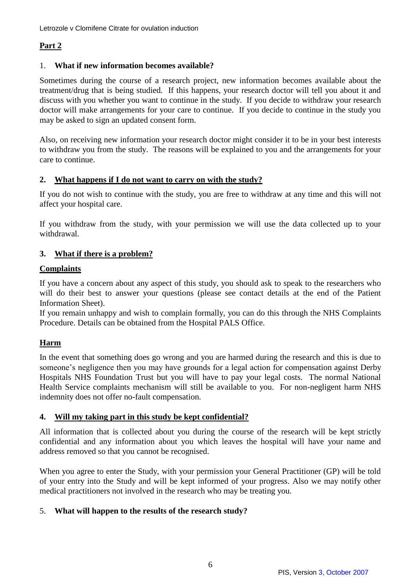# **Part 2**

## 1. **What if new information becomes available?**

Sometimes during the course of a research project, new information becomes available about the treatment/drug that is being studied. If this happens, your research doctor will tell you about it and discuss with you whether you want to continue in the study. If you decide to withdraw your research doctor will make arrangements for your care to continue. If you decide to continue in the study you may be asked to sign an updated consent form.

Also, on receiving new information your research doctor might consider it to be in your best interests to withdraw you from the study. The reasons will be explained to you and the arrangements for your care to continue.

## **2. What happens if I do not want to carry on with the study?**

If you do not wish to continue with the study, you are free to withdraw at any time and this will not affect your hospital care.

If you withdraw from the study, with your permission we will use the data collected up to your withdrawal.

## **3. What if there is a problem?**

## **Complaints**

If you have a concern about any aspect of this study, you should ask to speak to the researchers who will do their best to answer your questions (please see contact details at the end of the Patient Information Sheet).

If you remain unhappy and wish to complain formally, you can do this through the NHS Complaints Procedure. Details can be obtained from the Hospital PALS Office.

# **Harm**

In the event that something does go wrong and you are harmed during the research and this is due to someone's negligence then you may have grounds for a legal action for compensation against Derby Hospitals NHS Foundation Trust but you will have to pay your legal costs. The normal National Health Service complaints mechanism will still be available to you. For non-negligent harm NHS indemnity does not offer no-fault compensation.

## **4. Will my taking part in this study be kept confidential?**

All information that is collected about you during the course of the research will be kept strictly confidential and any information about you which leaves the hospital will have your name and address removed so that you cannot be recognised.

When you agree to enter the Study, with your permission your General Practitioner (GP) will be told of your entry into the Study and will be kept informed of your progress. Also we may notify other medical practitioners not involved in the research who may be treating you.

# 5. **What will happen to the results of the research study?**